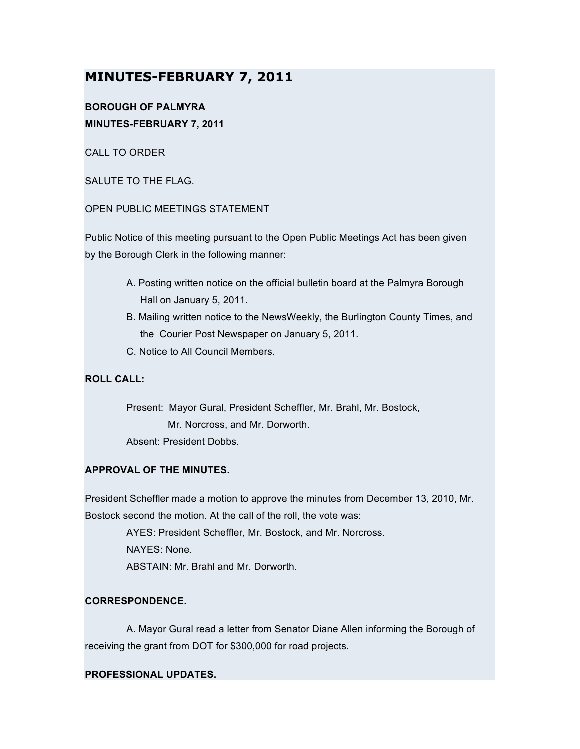# **MINUTES-FEBRUARY 7, 2011**

# **BOROUGH OF PALMYRA MINUTES-FEBRUARY 7, 2011**

CALL TO ORDER

SALUTE TO THE FLAG.

## OPEN PUBLIC MEETINGS STATEMENT

Public Notice of this meeting pursuant to the Open Public Meetings Act has been given by the Borough Clerk in the following manner:

- A. Posting written notice on the official bulletin board at the Palmyra Borough Hall on January 5, 2011.
- B. Mailing written notice to the NewsWeekly, the Burlington County Times, and the Courier Post Newspaper on January 5, 2011.
- C. Notice to All Council Members.

# **ROLL CALL:**

Present: Mayor Gural, President Scheffler, Mr. Brahl, Mr. Bostock, Mr. Norcross, and Mr. Dorworth. Absent: President Dobbs.

### **APPROVAL OF THE MINUTES.**

President Scheffler made a motion to approve the minutes from December 13, 2010, Mr. Bostock second the motion. At the call of the roll, the vote was:

> AYES: President Scheffler, Mr. Bostock, and Mr. Norcross. NAYES: None. ABSTAIN: Mr. Brahl and Mr. Dorworth.

### **CORRESPONDENCE.**

A. Mayor Gural read a letter from Senator Diane Allen informing the Borough of receiving the grant from DOT for \$300,000 for road projects.

### **PROFESSIONAL UPDATES.**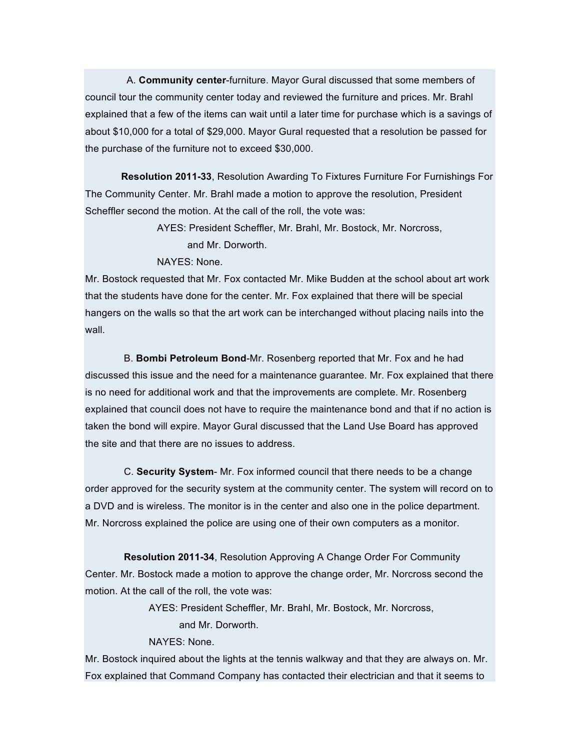A. **Community center**-furniture. Mayor Gural discussed that some members of council tour the community center today and reviewed the furniture and prices. Mr. Brahl explained that a few of the items can wait until a later time for purchase which is a savings of about \$10,000 for a total of \$29,000. Mayor Gural requested that a resolution be passed for the purchase of the furniture not to exceed \$30,000.

**Resolution 2011-33**, Resolution Awarding To Fixtures Furniture For Furnishings For The Community Center. Mr. Brahl made a motion to approve the resolution, President Scheffler second the motion. At the call of the roll, the vote was:

> AYES: President Scheffler, Mr. Brahl, Mr. Bostock, Mr. Norcross, and Mr. Dorworth.

#### NAYES: None.

Mr. Bostock requested that Mr. Fox contacted Mr. Mike Budden at the school about art work that the students have done for the center. Mr. Fox explained that there will be special hangers on the walls so that the art work can be interchanged without placing nails into the wall.

B. **Bombi Petroleum Bond**-Mr. Rosenberg reported that Mr. Fox and he had discussed this issue and the need for a maintenance guarantee. Mr. Fox explained that there is no need for additional work and that the improvements are complete. Mr. Rosenberg explained that council does not have to require the maintenance bond and that if no action is taken the bond will expire. Mayor Gural discussed that the Land Use Board has approved the site and that there are no issues to address.

C. **Security System**- Mr. Fox informed council that there needs to be a change order approved for the security system at the community center. The system will record on to a DVD and is wireless. The monitor is in the center and also one in the police department. Mr. Norcross explained the police are using one of their own computers as a monitor.

**Resolution 2011-34**, Resolution Approving A Change Order For Community Center. Mr. Bostock made a motion to approve the change order, Mr. Norcross second the motion. At the call of the roll, the vote was:

AYES: President Scheffler, Mr. Brahl, Mr. Bostock, Mr. Norcross,

and Mr. Dorworth.

NAYES: None.

Mr. Bostock inquired about the lights at the tennis walkway and that they are always on. Mr. Fox explained that Command Company has contacted their electrician and that it seems to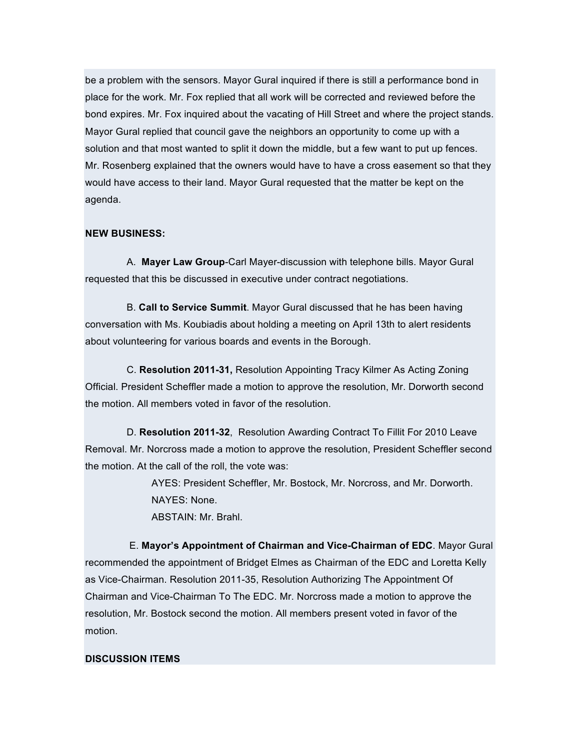be a problem with the sensors. Mayor Gural inquired if there is still a performance bond in place for the work. Mr. Fox replied that all work will be corrected and reviewed before the bond expires. Mr. Fox inquired about the vacating of Hill Street and where the project stands. Mayor Gural replied that council gave the neighbors an opportunity to come up with a solution and that most wanted to split it down the middle, but a few want to put up fences. Mr. Rosenberg explained that the owners would have to have a cross easement so that they would have access to their land. Mayor Gural requested that the matter be kept on the agenda.

### **NEW BUSINESS:**

A. **Mayer Law Group**-Carl Mayer-discussion with telephone bills. Mayor Gural requested that this be discussed in executive under contract negotiations.

B. **Call to Service Summit**. Mayor Gural discussed that he has been having conversation with Ms. Koubiadis about holding a meeting on April 13th to alert residents about volunteering for various boards and events in the Borough.

C. **Resolution 2011-31,** Resolution Appointing Tracy Kilmer As Acting Zoning Official. President Scheffler made a motion to approve the resolution, Mr. Dorworth second the motion. All members voted in favor of the resolution.

D. **Resolution 2011-32**, Resolution Awarding Contract To Fillit For 2010 Leave Removal. Mr. Norcross made a motion to approve the resolution, President Scheffler second the motion. At the call of the roll, the vote was:

> AYES: President Scheffler, Mr. Bostock, Mr. Norcross, and Mr. Dorworth. NAYES: None. ABSTAIN: Mr. Brahl.

E. **Mayor's Appointment of Chairman and Vice-Chairman of EDC**. Mayor Gural recommended the appointment of Bridget Elmes as Chairman of the EDC and Loretta Kelly as Vice-Chairman. Resolution 2011-35, Resolution Authorizing The Appointment Of Chairman and Vice-Chairman To The EDC. Mr. Norcross made a motion to approve the resolution, Mr. Bostock second the motion. All members present voted in favor of the motion.

### **DISCUSSION ITEMS**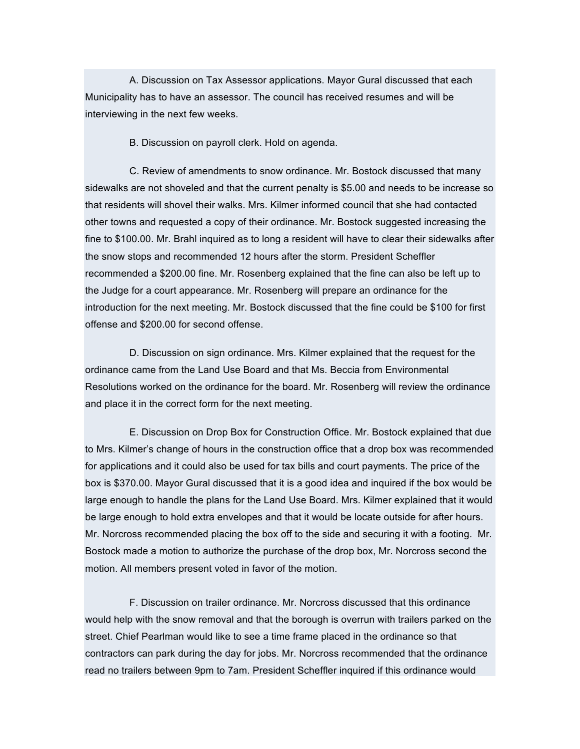A. Discussion on Tax Assessor applications. Mayor Gural discussed that each Municipality has to have an assessor. The council has received resumes and will be interviewing in the next few weeks.

B. Discussion on payroll clerk. Hold on agenda.

C. Review of amendments to snow ordinance. Mr. Bostock discussed that many sidewalks are not shoveled and that the current penalty is \$5.00 and needs to be increase so that residents will shovel their walks. Mrs. Kilmer informed council that she had contacted other towns and requested a copy of their ordinance. Mr. Bostock suggested increasing the fine to \$100.00. Mr. Brahl inquired as to long a resident will have to clear their sidewalks after the snow stops and recommended 12 hours after the storm. President Scheffler recommended a \$200.00 fine. Mr. Rosenberg explained that the fine can also be left up to the Judge for a court appearance. Mr. Rosenberg will prepare an ordinance for the introduction for the next meeting. Mr. Bostock discussed that the fine could be \$100 for first offense and \$200.00 for second offense.

D. Discussion on sign ordinance. Mrs. Kilmer explained that the request for the ordinance came from the Land Use Board and that Ms. Beccia from Environmental Resolutions worked on the ordinance for the board. Mr. Rosenberg will review the ordinance and place it in the correct form for the next meeting.

E. Discussion on Drop Box for Construction Office. Mr. Bostock explained that due to Mrs. Kilmer's change of hours in the construction office that a drop box was recommended for applications and it could also be used for tax bills and court payments. The price of the box is \$370.00. Mayor Gural discussed that it is a good idea and inquired if the box would be large enough to handle the plans for the Land Use Board. Mrs. Kilmer explained that it would be large enough to hold extra envelopes and that it would be locate outside for after hours. Mr. Norcross recommended placing the box off to the side and securing it with a footing. Mr. Bostock made a motion to authorize the purchase of the drop box, Mr. Norcross second the motion. All members present voted in favor of the motion.

F. Discussion on trailer ordinance. Mr. Norcross discussed that this ordinance would help with the snow removal and that the borough is overrun with trailers parked on the street. Chief Pearlman would like to see a time frame placed in the ordinance so that contractors can park during the day for jobs. Mr. Norcross recommended that the ordinance read no trailers between 9pm to 7am. President Scheffler inquired if this ordinance would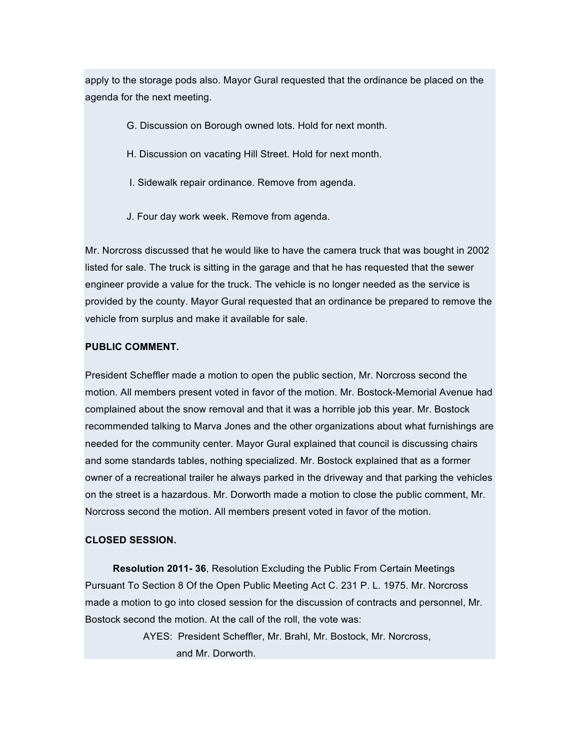apply to the storage pods also. Mayor Gural requested that the ordinance be placed on the agenda for the next meeting.

- G. Discussion on Borough owned lots. Hold for next month.
- H. Discussion on vacating Hill Street. Hold for next month.
- I. Sidewalk repair ordinance. Remove from agenda.
- J. Four day work week. Remove from agenda.

Mr. Norcross discussed that he would like to have the camera truck that was bought in 2002 listed for sale. The truck is sitting in the garage and that he has requested that the sewer engineer provide a value for the truck. The vehicle is no longer needed as the service is provided by the county. Mayor Gural requested that an ordinance be prepared to remove the vehicle from surplus and make it available for sale.

#### **PUBLIC COMMENT.**

President Scheffler made a motion to open the public section, Mr. Norcross second the motion. All members present voted in favor of the motion. Mr. Bostock-Memorial Avenue had complained about the snow removal and that it was a horrible job this year. Mr. Bostock recommended talking to Marva Jones and the other organizations about what furnishings are needed for the community center. Mayor Gural explained that council is discussing chairs and some standards tables, nothing specialized. Mr. Bostock explained that as a former owner of a recreational trailer he always parked in the driveway and that parking the vehicles on the street is a hazardous. Mr. Dorworth made a motion to close the public comment, Mr. Norcross second the motion. All members present voted in favor of the motion.

#### **CLOSED SESSION.**

**Resolution 2011- 36**, Resolution Excluding the Public From Certain Meetings Pursuant To Section 8 Of the Open Public Meeting Act C. 231 P. L. 1975. Mr. Norcross made a motion to go into closed session for the discussion of contracts and personnel, Mr. Bostock second the motion. At the call of the roll, the vote was:

> AYES: President Scheffler, Mr. Brahl, Mr. Bostock, Mr. Norcross, and Mr. Dorworth.